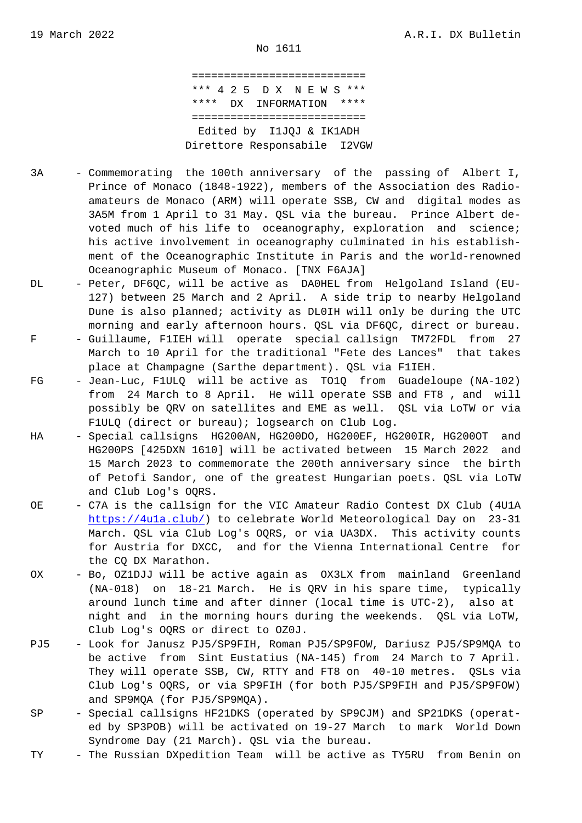=========================== \*\*\* 4 2 5 D X N E W S \*\*\* \*\*\*\* DX INFORMATION \*\*\*\* =========================== Edited by I1JQJ & IK1ADH Direttore Responsabile I2VGW

- 3A Commemorating the 100th anniversary of the passing of Albert I, Prince of Monaco (1848-1922), members of the Association des Radio amateurs de Monaco (ARM) will operate SSB, CW and digital modes as 3A5M from 1 April to 31 May. QSL via the bureau. Prince Albert de voted much of his life to oceanography, exploration and science; his active involvement in oceanography culminated in his establish ment of the Oceanographic Institute in Paris and the world-renowned Oceanographic Museum of Monaco. [TNX F6AJA]
- DL Peter, DF6QC, will be active as DA0HEL from Helgoland Island (EU- 127) between 25 March and 2 April. A side trip to nearby Helgoland Dune is also planned; activity as DL0IH will only be during the UTC morning and early afternoon hours. QSL via DF6QC, direct or bureau.
- F Guillaume, F1IEH will operate special callsign TM72FDL from 27 March to 10 April for the traditional "Fete des Lances" that takes place at Champagne (Sarthe department). QSL via F1IEH.
- FG Jean-Luc, F1ULQ will be active as TO1Q from Guadeloupe (NA-102) from 24 March to 8 April. He will operate SSB and FT8 , and will possibly be QRV on satellites and EME as well. QSL via LoTW or via F1ULQ (direct or bureau); logsearch on Club Log.
- HA Special callsigns HG200AN, HG200DO, HG200EF, HG200IR, HG200OT and HG200PS [425DXN 1610] will be activated between 15 March 2022 and 15 March 2023 to commemorate the 200th anniversary since the birth of Petofi Sandor, one of the greatest Hungarian poets. QSL via LoTW and Club Log's OQRS.
- OE C7A is the callsign for the VIC Amateur Radio Contest DX Club (4U1A https://4u1a.club/) to celebrate World Meteorological Day on 23-31 March. QSL via Club Log's OQRS, or via UA3DX. This activity counts for Austria for DXCC, and for the Vienna International Centre for [the CQ DX Marathon](https://4u1a.club/).
- OX Bo, OZ1DJJ will be active again as OX3LX from mainland Greenland (NA-018) on 18-21 March. He is QRV in his spare time, typically around lunch time and after dinner (local time is UTC-2), also at night and in the morning hours during the weekends. QSL via LoTW, Club Log's OQRS or direct to OZ0J.
- PJ5 Look for Janusz PJ5/SP9FIH, Roman PJ5/SP9FOW, Dariusz PJ5/SP9MQA to be active from Sint Eustatius (NA-145) from 24 March to 7 April. They will operate SSB, CW, RTTY and FT8 on 40-10 metres. QSLs via Club Log's OQRS, or via SP9FIH (for both PJ5/SP9FIH and PJ5/SP9FOW) and SP9MQA (for PJ5/SP9MQA).
- SP Special callsigns HF21DKS (operated by SP9CJM) and SP21DKS (operat ed by SP3POB) will be activated on 19-27 March to mark World Down Syndrome Day (21 March). QSL via the bureau.
- TY The Russian DXpedition Team will be active as TY5RU from Benin on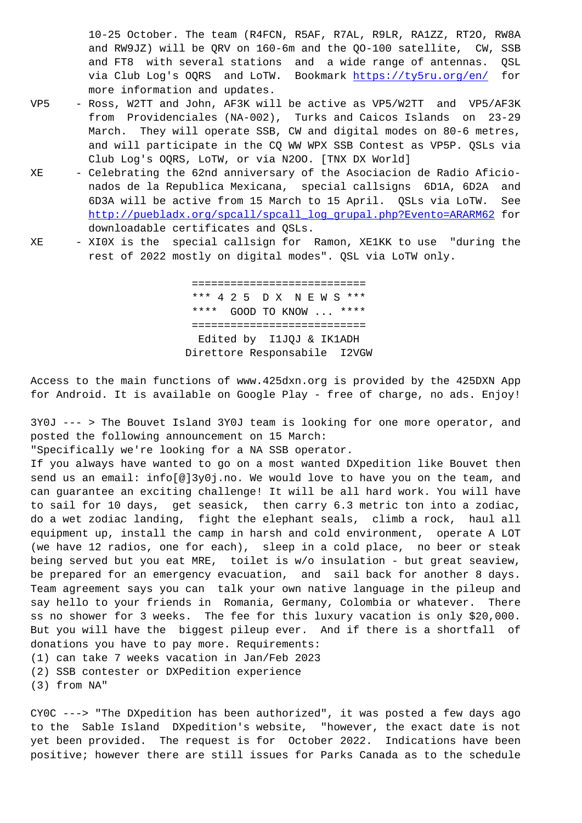and  $\text{MW302}$ , will be  $\text{QKV}$  on 160-6m and the  $\text{QOT100}$  satellite, CW, SSB and FT8 with several stations and a wide range of antennas. QSL via Club Log's OQRS and LoTW. Bookmark https://ty5ru.org/en/ for more information and updates.

- VP5 Ross, W2TT and John, AF3K will be active as VP5/W2TT and VP5/AF3K from Providenciales (NA-002), Turks and Caicos Islands on 23-29 March. They will operate SSB, CW and di[gital modes on 80-6 met](https://ty5ru.org/en/)res, and will participate in the CQ WW WPX SSB Contest as VP5P. QSLs via Club Log's OQRS, LoTW, or via N2OO. [TNX DX World]
- XE Celebrating the 62nd anniversary of the Asociacion de Radio Aficio nados de la Republica Mexicana, special callsigns 6D1A, 6D2A and 6D3A will be active from 15 March to 15 April. QSLs via LoTW. See http://puebladx.org/spcall/spcall\_log\_grupal.php?Evento=ARARM62 for downloadable certificates and QSLs.
- XE XI0X is the special callsign for Ramon, XE1KK to use "during the [rest of 2022 mostly on digital modes". QSL via LoTW only.](http://puebladx.org/spcall/spcall_log_grupal.php?Evento=ARARM62)

 =========================== \*\*\* 4 2 5 D X N E W S \*\*\* \*\*\*\* GOOD TO KNOW ... \*\*\*\* =========================== Edited by I1JQJ & IK1ADH Direttore Responsabile I2VGW

Access to the main functions of www.425dxn.org is provided by the 425DXN App for Android. It is available on Google Play - free of charge, no ads. Enjoy!

3Y0J --- > The Bouvet Island 3Y0J team is looking for one more operator, and posted the following announcement on 15 March:

"Specifically we're looking for a NA SSB operator.

If you always have wanted to go on a most wanted DXpedition like Bouvet then send us an email: info[@]3y0j.no. We would love to have you on the team, and can guarantee an exciting challenge! It will be all hard work. You will have to sail for 10 days, get seasick, then carry 6.3 metric ton into a zodiac, do a wet zodiac landing, fight the elephant seals, climb a rock, haul all equipment up, install the camp in harsh and cold environment, operate A LOT (we have 12 radios, one for each), sleep in a cold place, no beer or steak being served but you eat MRE, toilet is w/o insulation - but great seaview, be prepared for an emergency evacuation, and sail back for another 8 days. Team agreement says you can talk your own native language in the pileup and say hello to your friends in Romania, Germany, Colombia or whatever. There ss no shower for 3 weeks. The fee for this luxury vacation is only \$20,000. But you will have the biggest pileup ever. And if there is a shortfall of donations you have to pay more. Requirements:

(1) can take 7 weeks vacation in Jan/Feb 2023 (2) SSB contester or DXPedition experience

(3) from NA"

CY0C ---> "The DXpedition has been authorized", it was posted a few days ago to the Sable Island DXpedition's website, "however, the exact date is not yet been provided. The request is for October 2022. Indications have been positive; however there are still issues for Parks Canada as to the schedule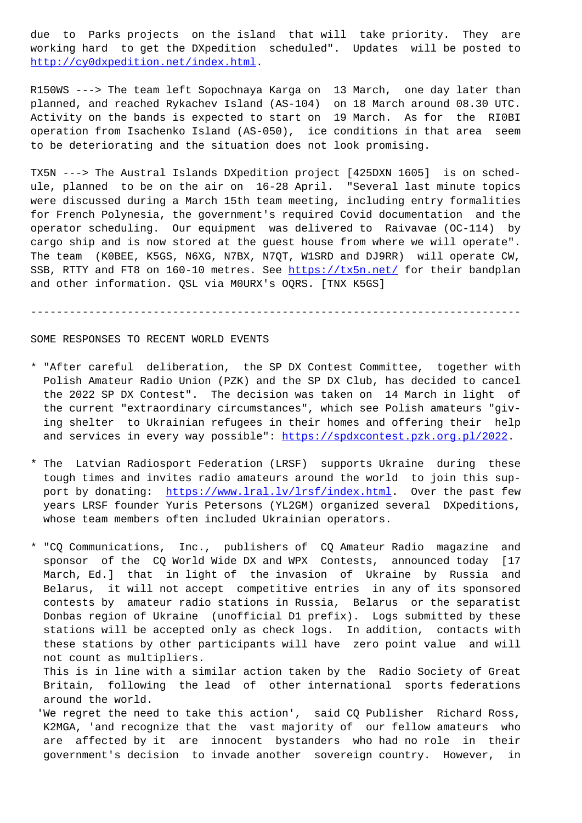working hard to get the DXpedition scheduled". Updates will be posted to http://cy0dxpedition.net/index.html.

R150WS ---> The team left Sopochnaya Karga on 13 March, one day later than [planned, and reached Rykachev Islan](http://cy0dxpedition.net/index.html)d (AS-104) on 18 March around 08.30 UTC. Activity on the bands is expected to start on 19 March. As for the RI0BI operation from Isachenko Island (AS-050), ice conditions in that area seem to be deteriorating and the situation does not look promising.

TX5N ---> The Austral Islands DXpedition project [425DXN 1605] is on schedule, planned to be on the air on 16-28 April. "Several last minute topics were discussed during a March 15th team meeting, including entry formalities for French Polynesia, the government's required Covid documentation and the operator scheduling. Our equipment was delivered to Raivavae (OC-114) by cargo ship and is now stored at the guest house from where we will operate". The team (K0BEE, K5GS, N6XG, N7BX, N7QT, W1SRD and DJ9RR) will operate CW, SSB, RTTY and FT8 on 160-10 metres. See https://tx5n.net/ for their bandplan and other information. QSL via M0URX's OQRS. [TNX K5GS]

---------------------------------------[------------------](https://tx5n.net/)-------------------

## SOME RESPONSES TO RECENT WORLD EVENTS

- \* "After careful deliberation, the SP DX Contest Committee, together with Polish Amateur Radio Union (PZK) and the SP DX Club, has decided to cancel the 2022 SP DX Contest". The decision was taken on 14 March in light of the current "extraordinary circumstances", which see Polish amateurs "giv ing shelter to Ukrainian refugees in their homes and offering their help and services in every way possible": https://spdxcontest.pzk.org.pl/2022.
- \* The Latvian Radiosport Federation (LRSF) supports Ukraine during these tough times and invites radio amateur[s around the world to join this sup](https://spdxcontest.pzk.org.pl/2022) port by donating: https://www.lral.lv/lrsf/index.html. Over the past few years LRSF founder Yuris Petersons (YL2GM) organized several DXpeditions, whose team members often included Ukrainian operators.

\* "CQ Communications, [Inc., publishers of CQ Amateur R](https://www.lral.lv/lrsf/index.html)adio magazine and sponsor of the CQ World Wide DX and WPX Contests, announced today [17 March, Ed.] that in light of the invasion of Ukraine by Russia and Belarus, it will not accept competitive entries in any of its sponsored contests by amateur radio stations in Russia, Belarus or the separatist Donbas region of Ukraine (unofficial D1 prefix). Logs submitted by these stations will be accepted only as check logs. In addition, contacts with these stations by other participants will have zero point value and will not count as multipliers.

 This is in line with a similar action taken by the Radio Society of Great Britain, following the lead of other international sports federations around the world.

 'We regret the need to take this action', said CQ Publisher Richard Ross, K2MGA, 'and recognize that the vast majority of our fellow amateurs who are affected by it are innocent bystanders who had no role in their government's decision to invade another sovereign country. However, in